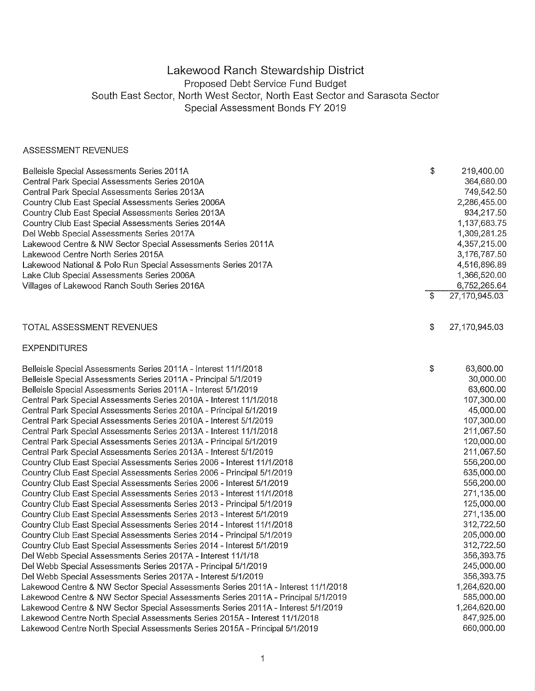## Lakewood Ranch Stewardship District Proposed Debt Service Fund Budget South East Sector, North West Sector, North East Sector and Sarasota Sector Special Assessment Bonds FY 2019

## ASSESSMENT REVENUES

| Belleisle Special Assessments Series 2011A                                        | \$<br>219,400.00      |
|-----------------------------------------------------------------------------------|-----------------------|
| Central Park Special Assessments Series 2010A                                     | 364,680.00            |
| Central Park Special Assessments Series 2013A                                     | 749,542.50            |
| Country Club East Special Assessments Series 2006A                                | 2,286,455.00          |
| Country Club East Special Assessments Series 2013A                                | 934,217.50            |
| Country Club East Special Assessments Series 2014A                                | 1,137,683.75          |
| Del Webb Special Assessments Series 2017A                                         | 1,309,281.25          |
| Lakewood Centre & NW Sector Special Assessments Series 2011A                      | 4,357,215.00          |
| Lakewood Centre North Series 2015A                                                | 3,176,787.50          |
| Lakewood National & Polo Run Special Assessments Series 2017A                     | 4,516,896.89          |
| Lake Club Special Assessments Series 2006A                                        | 1,366,520.00          |
| Villages of Lakewood Ranch South Series 2016A                                     | 6,752,265.64          |
|                                                                                   | \$<br>27, 170, 945.03 |
|                                                                                   |                       |
| TOTAL ASSESSMENT REVENUES                                                         | \$<br>27,170,945.03   |
| <b>EXPENDITURES</b>                                                               |                       |
| Belleisle Special Assessments Series 2011A - Interest 11/1/2018                   | \$<br>63,600.00       |
| Belleisle Special Assessments Series 2011A - Principal 5/1/2019                   | 30,000.00             |
| Belleisle Special Assessments Series 2011A - Interest 5/1/2019                    | 63,600.00             |
| Central Park Special Assessments Series 2010A - Interest 11/1/2018                | 107,300.00            |
| Central Park Special Assessments Series 2010A - Principal 5/1/2019                | 45,000.00             |
| Central Park Special Assessments Series 2010A - Interest 5/1/2019                 | 107,300.00            |
| Central Park Special Assessments Series 2013A - Interest 11/1/2018                | 211,067.50            |
| Central Park Special Assessments Series 2013A - Principal 5/1/2019                | 120,000.00            |
| Central Park Special Assessments Series 2013A - Interest 5/1/2019                 | 211,067.50            |
| Country Club East Special Assessments Series 2006 - Interest 11/1/2018            | 556,200.00            |
| Country Club East Special Assessments Series 2006 - Principal 5/1/2019            | 635,000.00            |
| Country Club East Special Assessments Series 2006 - Interest 5/1/2019             | 556,200.00            |
| Country Club East Special Assessments Series 2013 - Interest 11/1/2018            | 271,135.00            |
| Country Club East Special Assessments Series 2013 - Principal 5/1/2019            | 125,000.00            |
| Country Club East Special Assessments Series 2013 - Interest 5/1/2019             | 271,135.00            |
| Country Club East Special Assessments Series 2014 - Interest 11/1/2018            | 312,722.50            |
| Country Club East Special Assessments Series 2014 - Principal 5/1/2019            | 205,000.00            |
| Country Club East Special Assessments Series 2014 - Interest 5/1/2019             | 312,722.50            |
| Del Webb Special Assessments Series 2017A - Interest 11/1/18                      | 356.393.75            |
| Del Webb Special Assessments Series 2017A - Principal 5/1/2019                    | 245,000.00            |
| Del Webb Special Assessments Series 2017A - Interest 5/1/2019                     | 356,393.75            |
| Lakewood Centre & NW Sector Special Assessments Series 2011A - Interest 11/1/2018 | 1,264,620.00          |
| Lakewood Centre & NW Sector Special Assessments Series 2011A - Principal 5/1/2019 | 585,000.00            |
| Lakewood Centre & NW Sector Special Assessments Series 2011A - Interest 5/1/2019  | 1,264,620.00          |
| Lakewood Centre North Special Assessments Series 2015A - Interest 11/1/2018       | 847,925.00            |
| Lakewood Centre North Special Assessments Series 2015A - Principal 5/1/2019       | 660,000.00            |